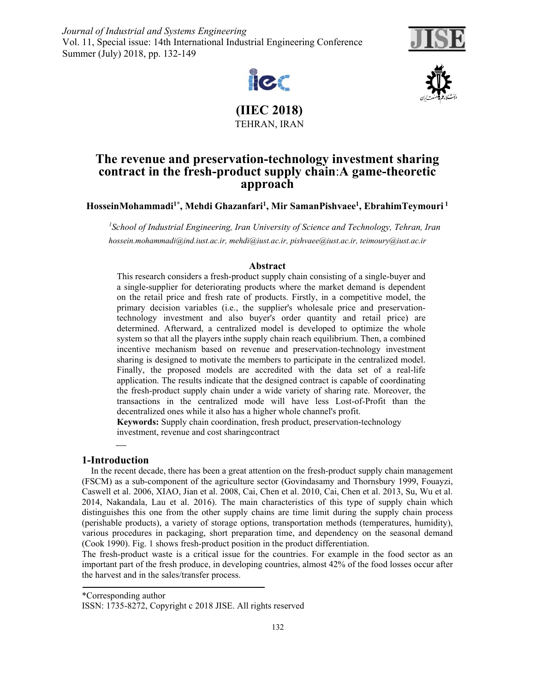*Journal of Industrial and Systems Engineering* Vol. 11, Special issue: 14th International Industrial Engineering Conference Summer (July) 2018, pp. 132-149







**(IIEC 2018)**  TEHRAN, IRAN

# **The revenue and preservation-technology investment sharing contract in the fresh-product supply chain**:**A game-theoretic approach**

## **HosseinMohammadi1\*, Mehdi Ghazanfari1, Mir SamanPishvaee1, EbrahimTeymouri 1**

<sup>1</sup> School of Industrial Engineering, Iran University of Science and Technology, Tehran, Iran *hossein.mohammadi@ind.iust.ac.ir, mehdi@iust.ac.ir, pishvaee@iust.ac.ir, teimoury@iust.ac.ir* 

#### **Abstract**

This research considers a fresh-product supply chain consisting of a single-buyer and a single-supplier for deteriorating products where the market demand is dependent on the retail price and fresh rate of products. Firstly, in a competitive model, the primary decision variables (i.e., the supplier's wholesale price and preservationtechnology investment and also buyer's order quantity and retail price) are determined. Afterward, a centralized model is developed to optimize the whole system so that all the players inthe supply chain reach equilibrium. Then, a combined incentive mechanism based on revenue and preservation-technology investment sharing is designed to motivate the members to participate in the centralized model. Finally, the proposed models are accredited with the data set of a real-life application. The results indicate that the designed contract is capable of coordinating the fresh-product supply chain under a wide variety of sharing rate. Moreover, the transactions in the centralized mode will have less Lost-of-Profit than the decentralized ones while it also has a higher whole channel's profit.

**Keywords:** Supply chain coordination, fresh product, preservation-technology investment, revenue and cost sharingcontract

## **1-Introduction**

 In the recent decade, there has been a great attention on the fresh-product supply chain management (FSCM) as a sub-component of the agriculture sector (Govindasamy and Thornsbury 1999, Fouayzi, Caswell et al. 2006, XIAO, Jian et al. 2008, Cai, Chen et al. 2010, Cai, Chen et al. 2013, Su, Wu et al. 2014, Nakandala, Lau et al. 2016). The main characteristics of this type of supply chain which distinguishes this one from the other supply chains are time limit during the supply chain process (perishable products), a variety of storage options, transportation methods (temperatures, humidity), various procedures in packaging, short preparation time, and dependency on the seasonal demand (Cook 1990). Fig. 1 shows fresh-product position in the product differentiation.

The fresh-product waste is a critical issue for the countries. For example in the food sector as an important part of the fresh produce, in developing countries, almost 42% of the food losses occur after the harvest and in the sales/transfer process.

\*Corresponding author

ISSN: 1735-8272, Copyright c 2018 JISE. All rights reserved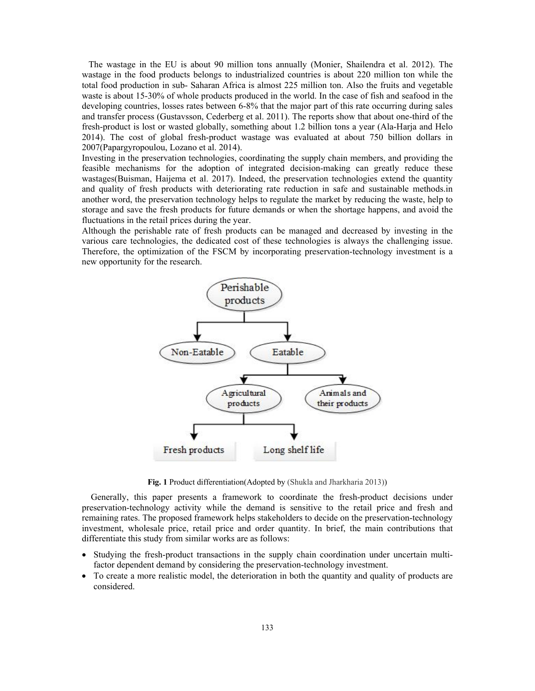The wastage in the EU is about 90 million tons annually (Monier, Shailendra et al. 2012). The wastage in the food products belongs to industrialized countries is about 220 million ton while the total food production in sub- Saharan Africa is almost 225 million ton. Also the fruits and vegetable waste is about 15-30% of whole products produced in the world. In the case of fish and seafood in the developing countries, losses rates between 6-8% that the major part of this rate occurring during sales and transfer process (Gustavsson, Cederberg et al. 2011). The reports show that about one-third of the fresh-product is lost or wasted globally, something about 1.2 billion tons a year (Ala-Harja and Helo 2014). The cost of global fresh-product wastage was evaluated at about 750 billion dollars in 2007(Papargyropoulou, Lozano et al. 2014).

Investing in the preservation technologies, coordinating the supply chain members, and providing the feasible mechanisms for the adoption of integrated decision-making can greatly reduce these wastages(Buisman, Haijema et al. 2017). Indeed, the preservation technologies extend the quantity and quality of fresh products with deteriorating rate reduction in safe and sustainable methods.in another word, the preservation technology helps to regulate the market by reducing the waste, help to storage and save the fresh products for future demands or when the shortage happens, and avoid the fluctuations in the retail prices during the year.

Although the perishable rate of fresh products can be managed and decreased by investing in the various care technologies, the dedicated cost of these technologies is always the challenging issue. Therefore, the optimization of the FSCM by incorporating preservation-technology investment is a new opportunity for the research.



**Fig. 1** Product differentiation(Adopted by (Shukla and Jharkharia 2013))

 Generally, this paper presents a framework to coordinate the fresh-product decisions under preservation-technology activity while the demand is sensitive to the retail price and fresh and remaining rates. The proposed framework helps stakeholders to decide on the preservation-technology investment, wholesale price, retail price and order quantity. In brief, the main contributions that differentiate this study from similar works are as follows:

- Studying the fresh-product transactions in the supply chain coordination under uncertain multifactor dependent demand by considering the preservation-technology investment.
- To create a more realistic model, the deterioration in both the quantity and quality of products are considered.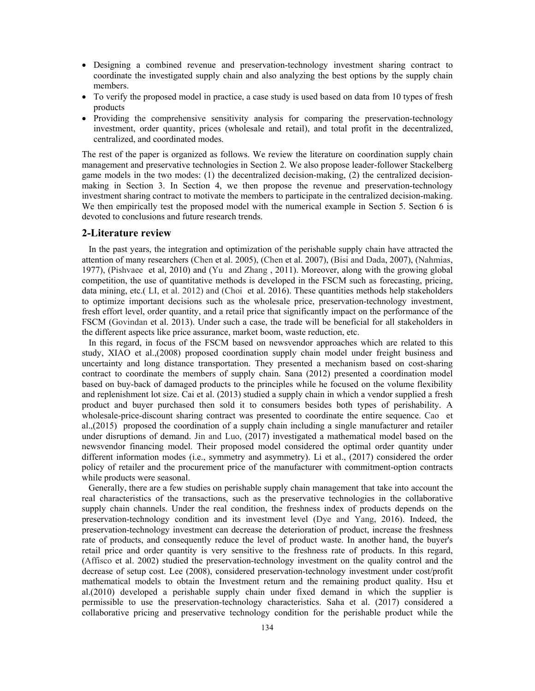- Designing a combined revenue and preservation-technology investment sharing contract to coordinate the investigated supply chain and also analyzing the best options by the supply chain members.
- To verify the proposed model in practice, a case study is used based on data from 10 types of fresh products
- Providing the comprehensive sensitivity analysis for comparing the preservation-technology investment, order quantity, prices (wholesale and retail), and total profit in the decentralized, centralized, and coordinated modes.

The rest of the paper is organized as follows. We review the literature on coordination supply chain management and preservative technologies in Section 2. We also propose leader-follower Stackelberg game models in the two modes: (1) the decentralized decision-making, (2) the centralized decisionmaking in Section 3. In Section 4, we then propose the revenue and preservation-technology investment sharing contract to motivate the members to participate in the centralized decision-making. We then empirically test the proposed model with the numerical example in Section 5. Section 6 is devoted to conclusions and future research trends.

#### **2-Literature review**

 In the past years, the integration and optimization of the perishable supply chain have attracted the attention of many researchers (Chen et al. 2005), (Chen et al. 2007), (Bisi and Dada, 2007), (Nahmias, 1977), (Pishvaee et al, 2010) and (Yu and Zhang , 2011). Moreover, along with the growing global competition, the use of quantitative methods is developed in the FSCM such as forecasting, pricing, data mining, etc.( LI, et al. 2012) and (Choi et al. 2016). These quantities methods help stakeholders to optimize important decisions such as the wholesale price, preservation-technology investment, fresh effort level, order quantity, and a retail price that significantly impact on the performance of the FSCM (Govindan et al. 2013). Under such a case, the trade will be beneficial for all stakeholders in the different aspects like price assurance, market boom, waste reduction, etc.

 In this regard, in focus of the FSCM based on newsvendor approaches which are related to this study, XIAO et al.,(2008) proposed coordination supply chain model under freight business and uncertainty and long distance transportation. They presented a mechanism based on cost-sharing contract to coordinate the members of supply chain. Sana (2012) presented a coordination model based on buy-back of damaged products to the principles while he focused on the volume flexibility and replenishment lot size. Cai et al. (2013) studied a supply chain in which a vendor supplied a fresh product and buyer purchased then sold it to consumers besides both types of perishability. A wholesale-price-discount sharing contract was presented to coordinate the entire sequence. Cao et al.,(2015) proposed the coordination of a supply chain including a single manufacturer and retailer under disruptions of demand. Jin and Luo, (2017) investigated a mathematical model based on the newsvendor financing model. Their proposed model considered the optimal order quantity under different information modes (i.e., symmetry and asymmetry). Li et al., (2017) considered the order policy of retailer and the procurement price of the manufacturer with commitment-option contracts while products were seasonal.

 Generally, there are a few studies on perishable supply chain management that take into account the real characteristics of the transactions, such as the preservative technologies in the collaborative supply chain channels. Under the real condition, the freshness index of products depends on the preservation-technology condition and its investment level (Dye and Yang, 2016). Indeed, the preservation-technology investment can decrease the deterioration of product, increase the freshness rate of products, and consequently reduce the level of product waste. In another hand, the buyer's retail price and order quantity is very sensitive to the freshness rate of products. In this regard, (Affisco et al. 2002) studied the preservation-technology investment on the quality control and the decrease of setup cost. Lee (2008), considered preservation-technology investment under cost/profit mathematical models to obtain the Investment return and the remaining product quality. Hsu et al.(2010) developed a perishable supply chain under fixed demand in which the supplier is permissible to use the preservation-technology characteristics. Saha et al. (2017) considered a collaborative pricing and preservative technology condition for the perishable product while the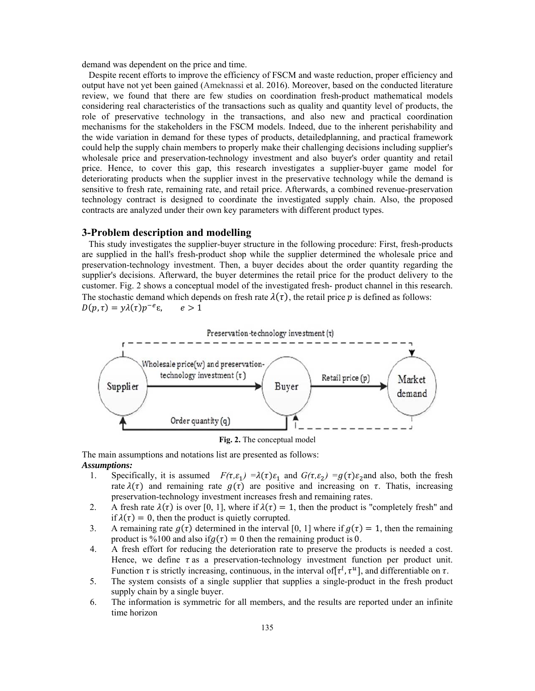demand was dependent on the price and time.

 Despite recent efforts to improve the efficiency of FSCM and waste reduction, proper efficiency and output have not yet been gained (Ameknassi et al. 2016). Moreover, based on the conducted literature review, we found that there are few studies on coordination fresh-product mathematical models considering real characteristics of the transactions such as quality and quantity level of products, the role of preservative technology in the transactions, and also new and practical coordination mechanisms for the stakeholders in the FSCM models. Indeed, due to the inherent perishability and the wide variation in demand for these types of products, detailedplanning, and practical framework could help the supply chain members to properly make their challenging decisions including supplier's wholesale price and preservation-technology investment and also buyer's order quantity and retail price. Hence, to cover this gap, this research investigates a supplier-buyer game model for deteriorating products when the supplier invest in the preservative technology while the demand is sensitive to fresh rate, remaining rate, and retail price. Afterwards, a combined revenue-preservation technology contract is designed to coordinate the investigated supply chain. Also, the proposed contracts are analyzed under their own key parameters with different product types.

#### **3-Problem description and modelling**

 This study investigates the supplier-buyer structure in the following procedure: First, fresh-products are supplied in the hall's fresh-product shop while the supplier determined the wholesale price and preservation-technology investment. Then, a buyer decides about the order quantity regarding the supplier's decisions. Afterward, the buyer determines the retail price for the product delivery to the customer. Fig. 2 shows a conceptual model of the investigated fresh- product channel in this research. The stochastic demand which depends on fresh rate  $\lambda(\tau)$ , the retail price p is defined as follows:  $D(p, \tau) = \gamma \lambda(\tau) p^{-e} \varepsilon, \quad e > 1$ 





The main assumptions and notations list are presented as follows: *Assumptions:* 

- 1. Specifically, it is assumed  $F(\tau, \varepsilon_1) = \lambda(\tau) \varepsilon_1$  and  $G(\tau, \varepsilon_2) = g(\tau) \varepsilon_2$  and also, both the fresh rate  $\lambda(\tau)$  and remaining rate  $g(\tau)$  are positive and increasing on  $\tau$ . Thatis, increasing preservation-technology investment increases fresh and remaining rates.
- 2. A fresh rate  $\lambda(\tau)$  is over [0, 1], where if  $\lambda(\tau) = 1$ , then the product is "completely fresh" and if  $\lambda(\tau) = 0$ , then the product is quietly corrupted.
- 3. A remaining rate  $g(\tau)$  determined in the interval [0, 1] where if  $g(\tau) = 1$ , then the remaining product is %100 and also if  $q(\tau) = 0$  then the remaining product is 0.
- 4. A fresh effort for reducing the deterioration rate to preserve the products is needed a cost. Hence, we define  $\tau$  as a preservation-technology investment function per product unit. Function  $\tau$  is strictly increasing, continuous, in the interval of  $[\tau^l, \tau^u]$ , and differentiable on  $\tau$ .
- 5. The system consists of a single supplier that supplies a single-product in the fresh product supply chain by a single buyer.
- 6. The information is symmetric for all members, and the results are reported under an infinite time horizon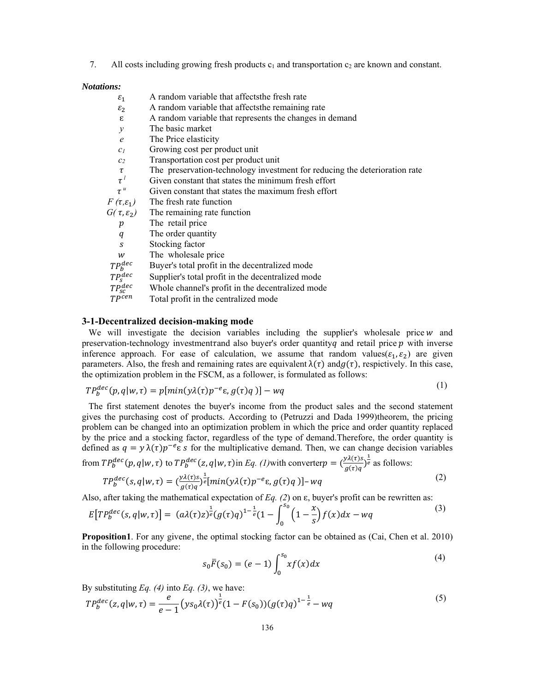7. All costs including growing fresh products  $c_1$  and transportation  $c_2$  are known and constant.

#### *Notations:*

| A random variable that affects the fresh rate                              |
|----------------------------------------------------------------------------|
| A random variable that affects the remaining rate                          |
| A random variable that represents the changes in demand                    |
| The basic market                                                           |
| The Price elasticity                                                       |
| Growing cost per product unit                                              |
| Transportation cost per product unit                                       |
| The preservation-technology investment for reducing the deterioration rate |
| Given constant that states the minimum fresh effort                        |
| Given constant that states the maximum fresh effort                        |
| The fresh rate function                                                    |
| The remaining rate function                                                |
| The retail price                                                           |
| The order quantity                                                         |
| Stocking factor                                                            |
| The wholesale price                                                        |
| Buyer's total profit in the decentralized mode                             |
| Supplier's total profit in the decentralized mode                          |
| Whole channel's profit in the decentralized mode                           |
| Total profit in the centralized mode                                       |
|                                                                            |

#### **3-1-Decentralized decision-making mode**

We will investigate the decision variables including the supplier's wholesale price  $w$  and preservation-technology investment and also buyer's order quantity q and retail price  $p$  with inverse inference approach. For ease of calculation, we assume that random values( $\varepsilon_1, \varepsilon_2$ ) are given parameters. Also, the fresh and remaining rates are equivalent  $\lambda(\tau)$  and  $g(\tau)$ , respictively. In this case, the optimization problem in the FSCM, as a follower, is formulated as follows:

$$
TP_b^{dec}(p, q|w, \tau) = p[\min(y\lambda(\tau)p^{-e}\varepsilon, g(\tau)q)] - wq \tag{1}
$$

 The first statement denotes the buyer's income from the product sales and the second statement gives the purchasing cost of products. According to (Petruzzi and Dada 1999)theorem, the pricing problem can be changed into an optimization problem in which the price and order quantity replaced by the price and a stocking factor, regardless of the type of demand.Therefore, the order quantity is defined as  $q = y \lambda(\tau) p^{-e} \varepsilon s$  for the multiplicative demand. Then, we can change decision variables from  $TP_b^{dec}(p, q|w, \tau)$  to  $TP_b^{dec}(z, q|w, \tau)$  in *Eq. (1)*with converter  $p = \left(\frac{y\lambda(\tau)s}{g(\tau)q}\right)^{\frac{1}{e}}$  as follows:

$$
TP_b^{dec}(s, q|w, \tau) = \left(\frac{y\lambda(\tau)s}{g(\tau)q}\right)^{\frac{1}{e}} [min(y\lambda(\tau)p^{-e}\epsilon, g(\tau)q)] - wq
$$
\n(2)

Also, after taking the mathematical expectation of *Eq. (2)* on  $\varepsilon$ , buyer's profit can be rewritten as:

$$
E[TP_b^{dec}(s,q|w,\tau)] = (a\lambda(\tau)z)^{\frac{1}{e}}(g(\tau)q)^{1-\frac{1}{e}}(1-\int_0^{s_0}(1-\frac{x}{s})f(x)dx - wq
$$
\n(3)

**Proposition1**. For any givene, the optimal stocking factor can be obtained as (Cai, Chen et al. 2010) in the following procedure:

$$
s_0 \bar{F}(s_0) = (e-1) \int_0^{s_0} x f(x) dx
$$
 (4)

By substituting *Eq. (4)* into *Eq. (3)*, we have:

$$
TP_b^{dec}(z, q | w, \tau) = \frac{e}{e-1} (ys_0 \lambda(\tau))^{\frac{1}{e}} (1 - F(s_0)) (g(\tau)q)^{1-\frac{1}{e}} - wq
$$
\n<sup>(5)</sup>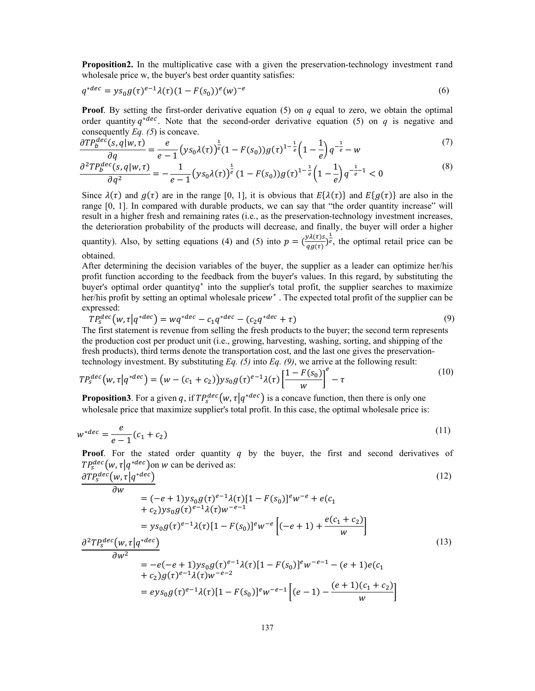**Proposition2.** In the multiplicative case with a given the preservation-technology investment  $\tau$  and wholesale price w, the buyer's best order quantity satisfies:

$$
q^{*dec} = y s_0 g(\tau)^{e-1} \lambda(\tau) (1 - F(s_0))^e(w)^{-e}
$$
\n(6)

**Proof.** By setting the first-order derivative equation (5) on  $q$  equal to zero, we obtain the optimal order quantity  $q^{*dec}$ . Note that the second-order derivative equation (5) on q is negative and consequently  $Eq. (5)$  is concave.

$$
\frac{\partial T P_b^{dec}(s, q | w, \tau)}{\partial q} = \frac{e}{e - 1} \left( y s_0 \lambda(\tau) \right)^{\frac{1}{e}} (1 - F(s_0)) g(\tau)^{1 - \frac{1}{e}} \left( 1 - \frac{1}{e} \right) q^{-\frac{1}{e}} - w \tag{7}
$$

$$
\frac{\partial^2 T P_b^{dec}(s, q | w, \tau)}{\partial q^2} = -\frac{1}{e - 1} \left( y s_0 \lambda(\tau) \right)^{\frac{1}{e}} (1 - F(s_0)) g(\tau)^{1 - \frac{1}{e}} \left( 1 - \frac{1}{e} \right) q^{-\frac{1}{e} - 1} < 0 \tag{8}
$$

Since  $\lambda(\tau)$  and  $g(\tau)$  are in the range [0, 1], it is obvious that  $E\{\lambda(\tau)\}\$  and  $E\{g(\tau)\}\$  are also in the range [0, 1]. In compared with durable products, we can say that "the order quantity increase" will result in a higher fresh and remaining rates (i.e., as the preservation-technology investment increases, the deterioration probability of the products will decrease, and finally, the buyer will order a higher quantity). Also, by setting equations (4) and (5) into  $p = (\frac{y\lambda(\tau)s}{g\sigma(\tau)})^{\frac{1}{e}}$ , the optimal retail price can be obtained.

After determining the decision variables of the buyer, the supplier as a leader can optimize her/his profit function according to the feedback from the buyer's values. In this regard, by substituting the buyer's optimal order quantity $q^*$  into the supplier's total profit, the supplier searches to maximize her/his profit by setting an optimal wholesale pricew<sup>\*</sup>. The expected total profit of the supplier can be expressed:

$$
TP_s^{dec}(w, \tau | q^{*dec}) = wq^{*dec} - c_1 q^{*dec} - (c_2 q^{*dec} + \tau)
$$
\n
$$
\tag{9}
$$

The first statement is revenue from selling the fresh products to the buyer; the second term represents the production cost per product unit (i.e., growing, harvesting, washing, sorting, and shipping of the fresh products), third terms denote the transportation cost, and the last one gives the preservationtechnology investment. By substituting Eq. (5) into Eq. (9), we arrive at the following result:

$$
TP_s^{dec}(w, \tau | q^{*dec}) = (w - (c_1 + c_2))ys_0 g(\tau)^{e-1} \lambda(\tau) \left[ \frac{1 - F(s_0)}{w} \right]^e - \tau
$$
\n(10)

**Proposition3**. For a given q, if  $TP_s^{dec}(w, \tau | q^{*dec})$  is a concave function, then there is only one wholesale price that maximize supplier's total profit. In this case, the optimal wholesale price is:

$$
w^{*dec} = \frac{e}{e-1}(c_1 + c_2)
$$
 (11)

**Proof.** For the stated order quantity  $q$  by the buyer, the first and second derivatives of  $TP_s^{dec}(w, \tau | q^{*dec})$  on w can be derived as:

$$
\frac{\partial TP_s^{dec}(w, \tau | q^{*dec})}{\partial w}
$$
\n(12)

$$
= (-e+1)ys_0 g(\tau)^{e-1}\lambda(\tau)[1 - F(s_0)]^{e}w^{e} + e(c_1 + c_2)ys_0 g(\tau)^{e-1}\lambda(\tau)w^{-e-1}
$$
  
\n
$$
= ys_0 g(\tau)^{e-1}\lambda(\tau)[1 - F(s_0)]^{e}w^{-e} [(-e+1) + \frac{e(c_1 + c_2)}{w}]
$$
  
\n
$$
\frac{\partial^2 T P_s^{dec}(w, \tau | q^{*dec})}{\partial w^2}
$$
  
\n
$$
= -e(-e+1)ys_0 g(\tau)^{e-1}\lambda(\tau)[1 - F(s_0)]^{e}w^{-e-1} - (e+1)e(c_1 + c_2)
$$
  
\n
$$
= -e(-e+1)ys_0 g(\tau)^{e-1}\lambda(\tau)[1 - F(s_0)]^{e}w^{-e-1} - (e+1)e(c_1 + c_2)
$$
  
\n
$$
= -e(-e+1)ys_0 g(\tau)^{e-1}\lambda(\tau)[1 - F(s_0)]^{e}w^{-e-1} - (e+1)e(c_1 + c_2)
$$
  
\n(13)

+ 
$$
c_2
$$
g $(\tau)^{e-1}\lambda(\tau)W^{-e-2}$   
=  $evs_0g(\tau)^{e-1}\lambda(\tau)[1 - F(s_0)]^eW^{-e-1}\left[(e-1) - \frac{(e+1)(c_1+c_2)}{W}\right]$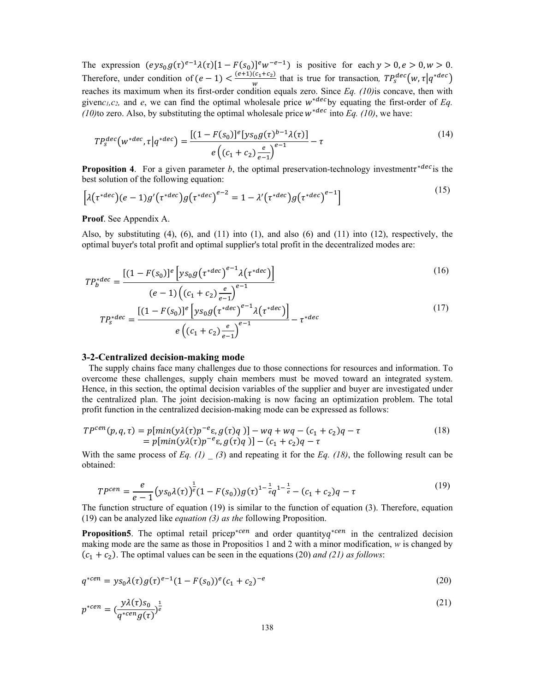The expression  $(\text{eys}_0 g(\tau)^{e-1} \lambda(\tau) [1 - F(s_0)]^e w^{-e-1})$  is positive for each  $y > 0, e > 0, w > 0$ . Therefore, under condition of  $(e-1) < \frac{(e+1)(c_1+c_2)}{w}$  that is true for transaction,  $TP_s^{dec}(w, \tau | q^{*dec})$ reaches its maximum when its first-order condition equals zero. Since *Eq. (10)*is concave, then with givenc<sub>1</sub>, c<sub>2</sub>, and *e*, we can find the optimal wholesale price  $w^{*dec}$ by equating the first-order of *Eq. (10)*to zero. Also, by substituting the optimal wholesale price  $w^{*dec}$  into *Eq. (10)*, we have:

$$
TP_s^{dec}(w^{*dec}, \tau | q^{*dec}) = \frac{[(1 - F(s_0)]^e [y s_0 g(\tau)^{b-1} \lambda(\tau)]}{e((c_1 + c_2) \frac{e}{e-1})^{e-1}} - \tau
$$
\n(14)

**Proposition 4.** For a given parameter *b*, the optimal preservation-technology investment $\tau^{decc}$  is the best solution of the following equation:

$$
\left[\lambda(\tau^{*dec})(e-1)g'(\tau^{*dec})g(\tau^{*dec})^{e-2}=1-\lambda'(\tau^{*dec})g(\tau^{*dec})^{e-1}\right]
$$
\n(15)

**Proof**. See Appendix A.

Also, by substituting  $(4)$ ,  $(6)$ , and  $(11)$  into  $(1)$ , and also  $(6)$  and  $(11)$  into  $(12)$ , respectively, the optimal buyer's total profit and optimal supplier's total profit in the decentralized modes are:

$$
TP_b^{*dec} = \frac{[(1 - F(s_0)]^e \left[ y s_0 g \left( \tau^{*dec} \right)^{e-1} \lambda (\tau^{*dec}) \right]}{(16)}
$$

$$
(e-1)\left((c_1+c_2)\frac{e}{e-1}\right)^{e-1}
$$

$$
TP_s^{*dec} = \frac{\left[(1-F(s_0)]^e \left[ys_0 g(\tau^{*dec})^{e-1}\lambda(\tau^{*dec})\right]}{e\left((c_1+c_2)\frac{e}{e-1}\right)^{e-1}} - \tau^{*dec}
$$
(17)

#### **3-2-Centralized decision-making mode**

 The supply chains face many challenges due to those connections for resources and information. To overcome these challenges, supply chain members must be moved toward an integrated system. Hence, in this section, the optimal decision variables of the supplier and buyer are investigated under the centralized plan. The joint decision-making is now facing an optimization problem. The total profit function in the centralized decision-making mode can be expressed as follows:

$$
TP^{cen}(p, q, \tau) = p[\min(y\lambda(\tau)p^{-e}\epsilon, g(\tau)q)] - wq + wq - (c_1 + c_2)q - \tau
$$
  
= p[\min(y\lambda(\tau)p^{-e}\epsilon, g(\tau)q)] - (c\_1 + c\_2)q - \tau (18)

With the same process of *Eq. (1)*  $\qquad$  *(3)* and repeating it for the *Eq. (18)*, the following result can be obtained:

$$
TP^{cen} = \frac{e}{e-1} (ys_0 \lambda(\tau)) \frac{1}{e} (1 - F(s_0)) g(\tau)^{1 - \frac{1}{e}} q^{1 - \frac{1}{e}} - (c_1 + c_2) q - \tau
$$
\n(19)

The function structure of equation (19) is similar to the function of equation (3). Therefore, equation (19) can be analyzed like *equation (3) as the* following Proposition.

**Proposition5**. The optimal retail price $p^{*cen}$  and order quantity $q^{*cen}$  in the centralized decision making mode are the same as those in Propositios 1 and 2 with a minor modification, *w* is changed by  $(c_1 + c_2)$ . The optimal values can be seen in the equations (20) *and (21) as follows*:

$$
q^{*cen} = y s_0 \lambda(\tau) g(\tau)^{e-1} (1 - F(s_0))^e (c_1 + c_2)^{-e}
$$
\n(20)

$$
p^{*cen} = \left(\frac{y\lambda(\tau)s_0}{q^{*cen}g(\tau)}\right)^{\frac{1}{e}}\tag{21}
$$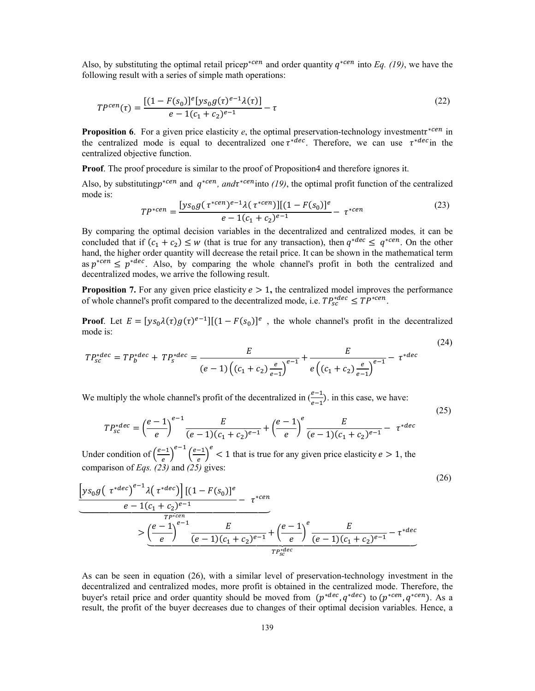Also, by substituting the optimal retail price $p^{*cen}$  and order quantity  $q^{*cen}$  into *Eq. (19)*, we have the following result with a series of simple math operations:

$$
TP^{cen}(\tau) = \frac{[(1 - F(s_0)]^e [ys_0 g(\tau)^{e-1} \lambda(\tau)]}{e - 1(c_1 + c_2)^{e-1}} - \tau
$$
\n(22)

**Proposition 6**. For a given price elasticity *e*, the optimal preservation-technology investmentτ<sup>\*cen</sup> in the centralized mode is equal to decentralized one  $\tau^{*dec}$ . Therefore, we can use  $\tau^{*dec}$  in the centralized objective function.

**Proof**. The proof procedure is similar to the proof of Proposition4 and therefore ignores it.

Also, by substitutingp<sup>∗cen</sup> and  $q^{*cen}$ , and $\tau^{*cen}$  into (19), the optimal profit function of the centralized mode is:

$$
TP^{*cen} = \frac{[ys_0 g(\tau^{*cen})^{e-1} \lambda(\tau^{*cen})][(1 - F(s_0)]^e}{e - 1(c_1 + c_2)^{e-1}} - \tau^{*cen}
$$
\n(23)

By comparing the optimal decision variables in the decentralized and centralized modes*,* it can be concluded that if  $(c_1 + c_2) \le w$  (that is true for any transaction), then  $q^{*dec} \le q^{*cen}$ . On the other hand, the higher order quantity will decrease the retail price. It can be shown in the mathematical term as  $p^{*cen} \leq p^{*dec}$ . Also, by comparing the whole channel's profit in both the centralized and decentralized modes, we arrive the following result.

**Proposition 7.** For any given price elasticity  $e > 1$ , the centralized model improves the performance of whole channel's profit compared to the decentralized mode, i.e.  $TP_{sc}^{*dec} \le TP^{*cen}$ .

**Proof.** Let  $E = [ys_0 \lambda(\tau)g(\tau)^{e-1}][(1 - F(s_0))^e]$ , the whole channel's profit in the decentralized mode is: (24)

$$
TP_{sc}^{*dec} = TP_b^{*dec} + TP_s^{*dec} = \frac{E}{(e-1)\left((c_1+c_2)\frac{e}{e-1}\right)^{e-1}} + \frac{E}{e\left((c_1+c_2)\frac{e}{e-1}\right)^{e-1}} - \tau^{*dec}
$$

We multiply the whole channel's profit of the decentralized in  $\left(\frac{e-1}{e-1}\right)$ . in this case, we have:

$$
TP_{sc}^{*dec} = \left(\frac{e-1}{e}\right)^{e-1} \frac{E}{(e-1)(c_1+c_2)^{e-1}} + \left(\frac{e-1}{e}\right)^{e} \frac{E}{(e-1)(c_1+c_2)^{e-1}} - \tau^{*dec}
$$

(25)

Under condition of  $\left(\frac{e-1}{e}\right)^{e-1} \left(\frac{e-1}{e}\right)^{e} < 1$  that is true for any given price elasticity  $e > 1$ , the comparison of *Eqs. (23)* and *(25)* gives:

$$
\left[ y s_0 g \left( \tau^{*dec} \right)^{e-1} \lambda \left( \tau^{*dec} \right) \right] \left[ (1 - F(s_0)) \right]^e - \tau^{*cen}
$$
\n
$$
e - 1 \left( c_1 + c_2 \right)^{e-1} - \tau^{*cen}
$$
\n
$$
\geq \underbrace{\left( \frac{e-1}{e} \right)^{e-1} \frac{E}{(e-1) \left( c_1 + c_2 \right)^{e-1}} + \left( \frac{e-1}{e} \right)^e \frac{E}{(e-1) \left( c_1 + c_2 \right)^{e-1}} - \tau^{*dec}
$$
\n
$$
T_{P_{sc}^{*dec}}^{recc}
$$
\n
$$
(26)
$$

As can be seen in equation (26), with a similar level of preservation-technology investment in the decentralized and centralized modes, more profit is obtained in the centralized mode. Therefore, the buyer's retail price and order quantity should be moved from  $(p^{*dec}, q^{*dec})$  to  $(p^{*cen}, q^{*cen})$ . As a result, the profit of the buyer decreases due to changes of their optimal decision variables. Hence, a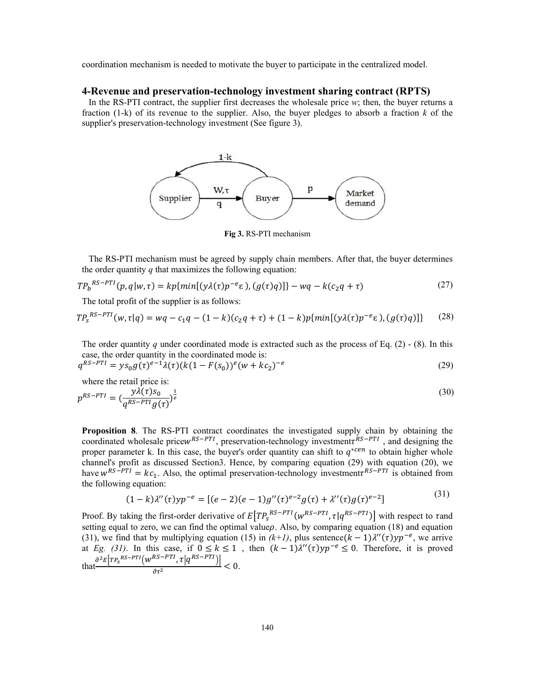coordination mechanism is needed to motivate the buyer to participate in the centralized model.

#### **4-Revenue and preservation-technology investment sharing contract (RPTS)**

 In the RS-PTI contract, the supplier first decreases the wholesale price *w*; then, the buyer returns a fraction (1-k) of its revenue to the supplier. Also, the buyer pledges to absorb a fraction *k* of the supplier's preservation-technology investment (See figure 3).



**Fig 3.** RS-PTI mechanism

 The RS-PTI mechanism must be agreed by supply chain members. After that, the buyer determines the order quantity *q* that maximizes the following equation:

$$
TP_b^{RS-PTI}(p,q|w,\tau) = kp\{min[(y\lambda(\tau)p^{-e}\epsilon), (g(\tau)q)]\} - wq - k(c_2q + \tau)
$$
\n(27)

The total profit of the supplier is as follows:

$$
TP_s^{RS-PTI}(w, \tau | q) = wq - c_1q - (1 - k)(c_2q + \tau) + (1 - k)p\{\min[(y\lambda(\tau)p^{-e}\epsilon), (g(\tau)q)]\} \tag{28}
$$

The order quantity *q* under coordinated mode is extracted such as the process of Eq.  $(2)$  -  $(8)$ . In this case, the order quantity in the coordinated mode is:

$$
q^{RS-PTI} = y s_0 g(\tau)^{e-1} \lambda(\tau) (k(1 - F(s_0))^e (w + kc_2)^{-e})
$$
\n(29)

where the retail price is:

$$
p^{RS-PTI} = \left(\frac{y\lambda(\tau)s_0}{q^{RS-PTI}g(\tau)}\right)^{\frac{1}{e}}\tag{30}
$$

**Proposition 8**. The RS-PTI contract coordinates the investigated supply chain by obtaining the coordinated wholesale price  $W^{RS-PTI}$ , preservation-technology investment $\tau^{RS-PTI}$ , and designing the proper parameter k. In this case, the buyer's order quantity can shift to  $q^{*cen}$  to obtain higher whole channel's profit as discussed Section3. Hence, by comparing equation (29) with equation (20), we have  $w^{RS-PTI} = kc_1$ . Also, the optimal preservation-technology investment  $\tau^{RS-PTI}$  is obtained from the following equation:

$$
(1 - k)\lambda''(\tau)yp^{-e} = [(e - 2)(e - 1)g''(\tau)^{e-2}g(\tau) + \lambda''(\tau)g(\tau)^{e-2}]
$$
\n(31)

Proof. By taking the first-order derivative of  $E[TP_S^{RS-PTI}(w^{RS-PTI}, \tau | q^{RS-PTI})]$  with respect to  $\tau$  and setting equal to zero, we can find the optimal value $\rho$ . Also, by comparing equation (18) and equation (31), we find that by multiplying equation (15) in  $(k+l)$ , plus sentence $(k-1)\lambda''(\tau)y p^{-e}$ , we arrive at *Eg.* (31). In this case, if  $0 \le k \le 1$ , then  $(k-1)\lambda''(\tau)yp^{-e} \le 0$ . Therefore, it is proved that  $\frac{\partial^2 E\left[TP_s^{RS-PTI}\left(\mathbf{W}^{RS-PTI}, \tau | q^{RS-PTI}\right)\right]}{r^2}$  $\frac{1}{\partial \tau^2} \frac{1}{\sqrt{1-\frac{1}{\sqrt{1-\frac{1}{\sqrt{1-\frac{1}{\sqrt{1-\frac{1}{\sqrt{1-\frac{1}{\sqrt{1-\frac{1}{\sqrt{1-\frac{1}{\sqrt{1-\frac{1}{\sqrt{1-\frac{1}{\sqrt{1-\frac{1}{\sqrt{1-\frac{1}{\sqrt{1-\frac{1}{\sqrt{1-\frac{1}{\sqrt{1-\frac{1}{\sqrt{1-\frac{1}{\sqrt{1-\frac{1}{\sqrt{1-\frac{1}{\sqrt{1-\frac{1}{\sqrt{1-\frac{1}{\sqrt{1-\frac{1}{\sqrt{1-\frac{1}{\sqrt{1-\frac{1}{\sqrt{1-\$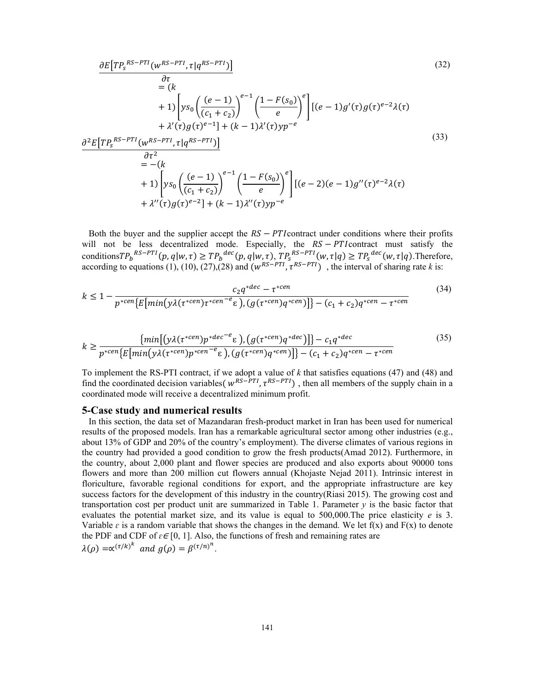$$
\frac{\partial E[TP_{s}^{RS-PTI}(w^{RS-PTI}, \tau|q^{RS-PTI})]}{\partial \tau} = (k + 1) \left[ ys_{0} \left( \frac{(e-1)}{(c_{1} + c_{2})} \right)^{e-1} \left( \frac{1 - F(s_{0})}{e} \right)^{e} \right] [(e-1)g'(\tau)g(\tau)^{e-2}\lambda(\tau) + \lambda'(\tau)g(\tau)^{e-1}] + (k - 1)\lambda'(\tau)yp^{-e}
$$
\n
$$
\frac{\partial^{2} E[TP_{s}^{RS-PTI}(w^{RS-PTI}, \tau|q^{RS-PTI})]}{\partial \tau^{2}} = -(k + 1) \left[ ys_{0} \left( \frac{(e-1)}{(c_{1} + c_{2})} \right)^{e-1} \left( \frac{1 - F(s_{0})}{e} \right)^{e} \right] [(e-2)(e-1)g'(\tau)^{e-2}\lambda(\tau) + \lambda''(\tau)g(\tau)^{e-2}] + (k - 1)\lambda''(\tau)yp^{-e}
$$
\n(33)

Both the buyer and the supplier accept the  $RS - PT$  contract under conditions where their profits will not be less decentralized mode. Especially, the  $RS - PT$  contract must satisfy the conditions  $TP_b^{RS-PTI}(p,q|w,\tau) \ge TP_b^{dec}(p,q|w,\tau), TP_s^{RS-PTI}(w,\tau|q) \ge TP_s^{dec}(w,\tau|q)$ . Therefore, according to equations (1), (10), (27), (28) and  $(w^{RS-PTI}, \tau^{RS-PTI})$ , the interval of sharing rate *k* is:

$$
k \le 1 - \frac{c_2 q^{*dec} - \tau^{*cen}}{p^{*cen} \{E[min(y\lambda(\tau^{*cen})\tau^{*cen} - \epsilon), (g(\tau^{*cen})q^{*cen})]\} - (c_1 + c_2)q^{*cen} - \tau^{*cen}}
$$
(34)

$$
k \geq \frac{\{\min\left[\left(y\lambda(\tau^{*cen})p^{*dec^{-e}}\varepsilon\right),\left(g(\tau^{*cen})q^{*dec}\right)\right]\}-c_1q^{*dec}}{p^{*cen}\left\{\varepsilon\left[\min\left(y\lambda(\tau^{*cen})p^{*cen^{-e}}\varepsilon\right),\left(g(\tau^{*cen})q^{*cen}\right)\right]\right\}-\left(c_1+c_2\right)q^{*cen}-\tau^{*cen}}\tag{35}
$$

To implement the RS-PTI contract, if we adopt a value of *k* that satisfies equations (47) and (48) and find the coordinated decision variables(  $w^{RS-PTI}$ ,  $\tau^{RS-PTI}$ ), then all members of the supply chain in a coordinated mode will receive a decentralized minimum profit.

#### **5-Case study and numerical results**

 In this section, the data set of Mazandaran fresh-product market in Iran has been used for numerical results of the proposed models. Iran has a remarkable agricultural sector among other industries (e.g., about 13% of GDP and 20% of the country's employment). The diverse climates of various regions in the country had provided a good condition to grow the fresh products(Amad 2012). Furthermore, in the country, about 2,000 plant and flower species are produced and also exports about 90000 tons flowers and more than 200 million cut flowers annual (Khojaste Nejad 2011). Intrinsic interest in floriculture, favorable regional conditions for export, and the appropriate infrastructure are key success factors for the development of this industry in the country(Riasi 2015). The growing cost and transportation cost per product unit are summarized in Table 1. Parameter  $y$  is the basic factor that evaluates the potential market size, and its value is equal to 500,000.The price elasticity *e* is 3. Variable  $\varepsilon$  is a random variable that shows the changes in the demand. We let  $f(x)$  and  $F(x)$  to denote the PDF and CDF of  $\varepsilon \in [0, 1]$ . Also, the functions of fresh and remaining rates are  $\lambda(\rho) = \alpha^{(\tau/k)^k}$  and  $g(\rho) = \beta^{(\tau/n)^n}$ .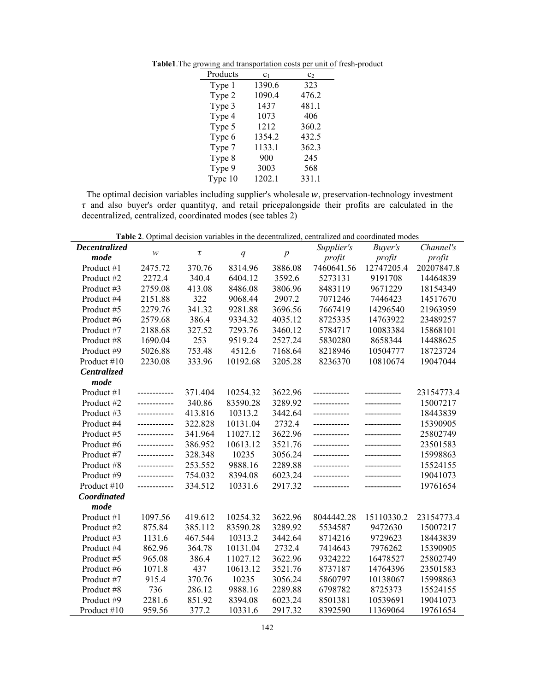|  |  | <b>Table1.</b> The growing and transportation costs per unit of fresh-product |  |  |  |
|--|--|-------------------------------------------------------------------------------|--|--|--|
|--|--|-------------------------------------------------------------------------------|--|--|--|

| Products | C <sub>1</sub> | c <sub>2</sub> |  |  |
|----------|----------------|----------------|--|--|
| Type 1   | 1390.6         | 323            |  |  |
| Type 2   | 1090.4         | 476.2          |  |  |
| Type 3   | 1437           | 481.1          |  |  |
| Type 4   | 1073           | 406            |  |  |
| Type 5   | 1212           | 360.2          |  |  |
| Type 6   | 1354.2         | 432.5          |  |  |
| Type 7   | 1133.1         | 362.3          |  |  |
| Type 8   | 900            | 245            |  |  |
| Type 9   | 3003           | 568            |  |  |
| Type 10  | 1202.1         | 331.1          |  |  |

The optimal decision variables including supplier's wholesale  $w$ , preservation-technology investment  $\tau$  and also buyer's order quantityq, and retail pricepalongside their profits are calculated in the decentralized, centralized, coordinated modes (see tables 2)

**Table 2**. Optimal decision variables in the decentralized, centralized and coordinated modes

|                    |              |         |          |                | <b>Table 2.</b> Optimal decision variables in the decentralized, centralized and coordinated mode |               |            |
|--------------------|--------------|---------|----------|----------------|---------------------------------------------------------------------------------------------------|---------------|------------|
| Decentralized      | W            | $\tau$  | q        | $\overline{p}$ | Supplier's                                                                                        | Buyer's       | Channel's  |
| mode               |              |         |          |                | profit                                                                                            | profit        | profit     |
| Product #1         | 2475.72      | 370.76  | 8314.96  | 3886.08        | 7460641.56                                                                                        | 12747205.4    | 20207847.8 |
| Product #2         | 2272.4       | 340.4   | 6404.12  | 3592.6         | 5273131                                                                                           | 9191708       | 14464839   |
| Product #3         | 2759.08      | 413.08  | 8486.08  | 3806.96        | 8483119                                                                                           | 9671229       | 18154349   |
| Product #4         | 2151.88      | 322     | 9068.44  | 2907.2         | 7071246                                                                                           | 7446423       | 14517670   |
| Product #5         | 2279.76      | 341.32  | 9281.88  | 3696.56        | 7667419                                                                                           | 14296540      | 21963959   |
| Product #6         | 2579.68      | 386.4   | 9334.32  | 4035.12        | 8725335                                                                                           | 14763922      | 23489257   |
| Product #7         | 2188.68      | 327.52  | 7293.76  | 3460.12        | 5784717                                                                                           | 10083384      | 15868101   |
| Product #8         | 1690.04      | 253     | 9519.24  | 2527.24        | 5830280                                                                                           | 8658344       | 14488625   |
| Product #9         | 5026.88      | 753.48  | 4512.6   | 7168.64        | 8218946                                                                                           | 10504777      | 18723724   |
| Product #10        | 2230.08      | 333.96  | 10192.68 | 3205.28        | 8236370                                                                                           | 10810674      | 19047044   |
| <b>Centralized</b> |              |         |          |                |                                                                                                   |               |            |
| mode               |              |         |          |                |                                                                                                   |               |            |
| Product #1         | ------------ | 371.404 | 10254.32 | 3622.96        |                                                                                                   |               | 23154773.4 |
| Product #2         | ------------ | 340.86  | 83590.28 | 3289.92        |                                                                                                   |               | 15007217   |
| Product #3         | ------------ | 413.816 | 10313.2  | 3442.64        |                                                                                                   |               | 18443839   |
| Product #4         | ------------ | 322.828 | 10131.04 | 2732.4         | -------------                                                                                     |               | 15390905   |
| Product #5         | ------------ | 341.964 | 11027.12 | 3622.96        |                                                                                                   | ------------- | 25802749   |
| Product #6         | ------------ | 386.952 | 10613.12 | 3521.76        |                                                                                                   |               | 23501583   |
| Product #7         |              | 328.348 | 10235    | 3056.24        |                                                                                                   |               | 15998863   |
| Product #8         | ------------ | 253.552 | 9888.16  | 2289.88        |                                                                                                   |               | 15524155   |
| Product #9         |              | 754.032 | 8394.08  | 6023.24        |                                                                                                   |               | 19041073   |
| Product #10        | ------------ | 334.512 | 10331.6  | 2917.32        |                                                                                                   |               | 19761654   |
| Coordinated        |              |         |          |                |                                                                                                   |               |            |
| mode               |              |         |          |                |                                                                                                   |               |            |
| Product #1         | 1097.56      | 419.612 | 10254.32 | 3622.96        | 8044442.28                                                                                        | 15110330.2    | 23154773.4 |
| Product #2         | 875.84       | 385.112 | 83590.28 | 3289.92        | 5534587                                                                                           | 9472630       | 15007217   |
| Product #3         | 1131.6       | 467.544 | 10313.2  | 3442.64        | 8714216                                                                                           | 9729623       | 18443839   |
| Product #4         | 862.96       | 364.78  | 10131.04 | 2732.4         | 7414643                                                                                           | 7976262       | 15390905   |
| Product #5         | 965.08       | 386.4   | 11027.12 | 3622.96        | 9324222                                                                                           | 16478527      | 25802749   |
| Product #6         | 1071.8       | 437     | 10613.12 | 3521.76        | 8737187                                                                                           | 14764396      | 23501583   |
| Product #7         | 915.4        | 370.76  | 10235    | 3056.24        | 5860797                                                                                           | 10138067      | 15998863   |
| Product #8         | 736          | 286.12  | 9888.16  | 2289.88        | 6798782                                                                                           | 8725373       | 15524155   |
| Product #9         | 2281.6       | 851.92  | 8394.08  | 6023.24        | 8501381                                                                                           | 10539691      | 19041073   |
| Product #10        | 959.56       | 377.2   | 10331.6  | 2917.32        | 8392590                                                                                           | 11369064      | 19761654   |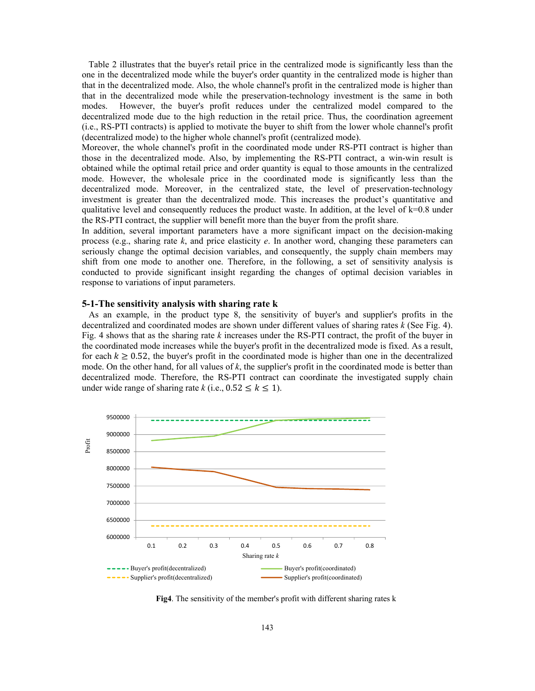Table 2 illustrates that the buyer's retail price in the centralized mode is significantly less than the one in the decentralized mode while the buyer's order quantity in the centralized mode is higher than that in the decentralized mode. Also, the whole channel's profit in the centralized mode is higher than that in the decentralized mode while the preservation-technology investment is the same in both modes. However, the buyer's profit reduces under the centralized model compared to the decentralized mode due to the high reduction in the retail price. Thus, the coordination agreement (i.e., RS-PTI contracts) is applied to motivate the buyer to shift from the lower whole channel's profit (decentralized mode) to the higher whole channel's profit (centralized mode).

Moreover, the whole channel's profit in the coordinated mode under RS-PTI contract is higher than those in the decentralized mode. Also, by implementing the RS-PTI contract, a win-win result is obtained while the optimal retail price and order quantity is equal to those amounts in the centralized mode. However, the wholesale price in the coordinated mode is significantly less than the decentralized mode. Moreover, in the centralized state, the level of preservation-technology investment is greater than the decentralized mode. This increases the product's quantitative and qualitative level and consequently reduces the product waste. In addition, at the level of  $k=0.8$  under the RS-PTI contract, the supplier will benefit more than the buyer from the profit share.

In addition, several important parameters have a more significant impact on the decision-making process (e.g., sharing rate *k*, and price elasticity *e*. In another word, changing these parameters can seriously change the optimal decision variables, and consequently, the supply chain members may shift from one mode to another one. Therefore, in the following, a set of sensitivity analysis is conducted to provide significant insight regarding the changes of optimal decision variables in response to variations of input parameters.

#### **5-1-The sensitivity analysis with sharing rate k**

 As an example, in the product type 8, the sensitivity of buyer's and supplier's profits in the decentralized and coordinated modes are shown under different values of sharing rates *k* (See Fig. 4). Fig. 4 shows that as the sharing rate *k* increases under the RS-PTI contract, the profit of the buyer in the coordinated mode increases while the buyer's profit in the decentralized mode is fixed. As a result, for each  $k \ge 0.52$ , the buyer's profit in the coordinated mode is higher than one in the decentralized mode. On the other hand, for all values of *k*, the supplier's profit in the coordinated mode is better than decentralized mode. Therefore, the RS-PTI contract can coordinate the investigated supply chain under wide range of sharing rate *k* (i.e.,  $0.52 \le k \le 1$ ).



**Fig4**. The sensitivity of the member's profit with different sharing rates k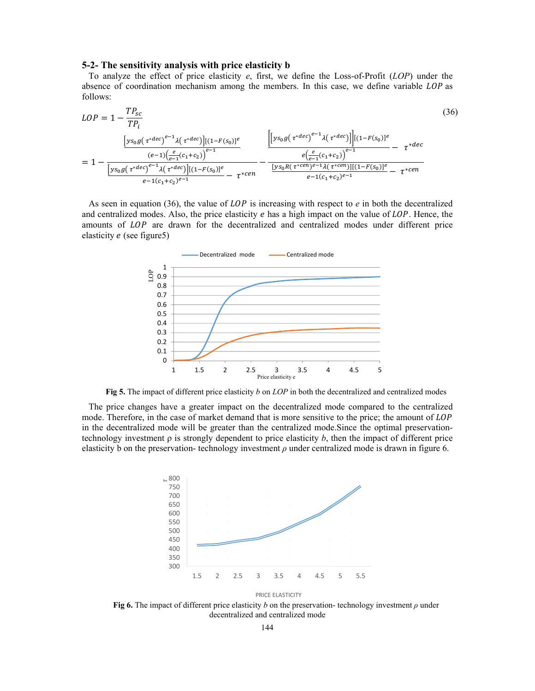#### 5-2- The sensitivity analysis with price elasticity b

To analyze the effect of price elasticity  $e$ , first, we define the Loss-of-Profit (LOP) under the absence of coordination mechanism among the members. In this case, we define variable LOP as follows:

$$
LOP = 1 - \frac{TP_{sc}}{TP_{i}}
$$
\n
$$
= 1 - \frac{\left[ys_{0}g(\tau^{*dec})^{e-1}\lambda(\tau^{*dec})\right]\left[(1-F(s_{0})]^{e}\right]}{\left[ys_{0}g(\tau^{*dec})^{e-1}\lambda(\tau^{*dec})\right]\left[(1-F(s_{0})]^{e}\right]} - \frac{\left[\left[ys_{0}g(\tau^{*dec})^{e-1}\lambda(\tau^{*dec})\right]\right]\left[(1-F(s_{0})]^{e}\right]}{\left[ys_{0}g(\tau^{*dec})^{e-1}\lambda(\tau^{*dec})\right]\left[(1-F(s_{0})]^{e}\right]} - \frac{e\left(\frac{e}{e-1}(c_{1}+c_{2})\right)^{e-1}}{\frac{\left[ys_{0}R(\tau^{*cen})^{e-1}\lambda(\tau^{*cen})\right]\left[(1-F(s_{0})]^{e}\right]}{e-1(c_{1}+c_{2})^{e-1}} - \frac{1}{\tau^{*cen}}
$$
\n
$$
(36)
$$
\n
$$
(37)
$$

As seen in equation (36), the value of  $LOP$  is increasing with respect to  $e$  in both the decentralized and centralized modes. Also, the price elasticity e has a high impact on the value of LOP. Hence, the amounts of LOP are drawn for the decentralized and centralized modes under different price elasticity  $e$  (see figure 5)



Fig 5. The impact of different price elasticity  $b$  on  $LOP$  in both the decentralized and centralized modes

The price changes have a greater impact on the decentralized mode compared to the centralized mode. Therefore, in the case of market demand that is more sensitive to the price; the amount of LOP in the decentralized mode will be greater than the centralized mode. Since the optimal preservationtechnology investment  $\rho$  is strongly dependent to price elasticity  $b$ , then the impact of different price elasticity b on the preservation-technology investment  $\rho$  under centralized mode is drawn in figure 6.



PRICE ELASTICITY

Fig 6. The impact of different price elasticity b on the preservation-technology investment  $\rho$  under decentralized and centralized mode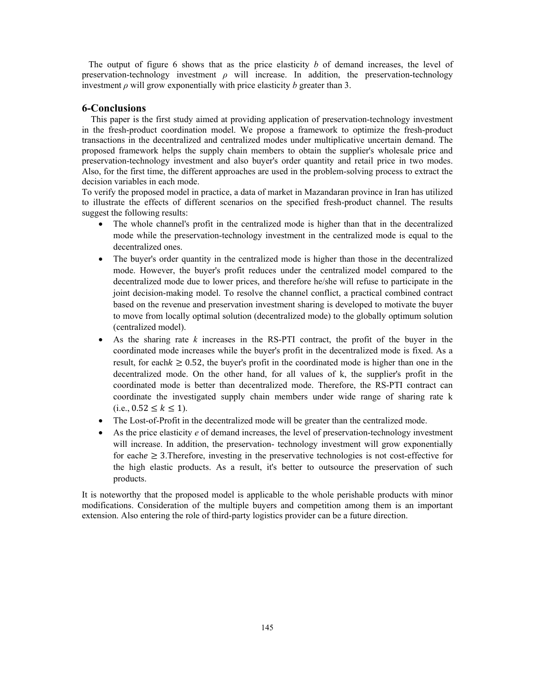The output of figure 6 shows that as the price elasticity *b* of demand increases, the level of preservation-technology investment *ρ* will increase. In addition, the preservation-technology investment  $\rho$  will grow exponentially with price elasticity  $b$  greater than 3.

#### **6-Conclusions**

 This paper is the first study aimed at providing application of preservation-technology investment in the fresh-product coordination model. We propose a framework to optimize the fresh-product transactions in the decentralized and centralized modes under multiplicative uncertain demand. The proposed framework helps the supply chain members to obtain the supplier's wholesale price and preservation-technology investment and also buyer's order quantity and retail price in two modes. Also, for the first time, the different approaches are used in the problem-solving process to extract the decision variables in each mode.

To verify the proposed model in practice, a data of market in Mazandaran province in Iran has utilized to illustrate the effects of different scenarios on the specified fresh-product channel. The results suggest the following results:

- The whole channel's profit in the centralized mode is higher than that in the decentralized mode while the preservation-technology investment in the centralized mode is equal to the decentralized ones.
- The buyer's order quantity in the centralized mode is higher than those in the decentralized mode. However, the buyer's profit reduces under the centralized model compared to the decentralized mode due to lower prices, and therefore he/she will refuse to participate in the joint decision-making model. To resolve the channel conflict, a practical combined contract based on the revenue and preservation investment sharing is developed to motivate the buyer to move from locally optimal solution (decentralized mode) to the globally optimum solution (centralized model).
- As the sharing rate *k* increases in the RS-PTI contract, the profit of the buyer in the coordinated mode increases while the buyer's profit in the decentralized mode is fixed. As a result, for each  $k \geq 0.52$ , the buyer's profit in the coordinated mode is higher than one in the decentralized mode. On the other hand, for all values of k, the supplier's profit in the coordinated mode is better than decentralized mode. Therefore, the RS-PTI contract can coordinate the investigated supply chain members under wide range of sharing rate k  $(i.e., 0.52 \le k \le 1).$
- The Lost-of-Profit in the decentralized mode will be greater than the centralized mode.
- As the price elasticity *e* of demand increases, the level of preservation-technology investment will increase. In addition, the preservation- technology investment will grow exponentially for each  $\geq$  3. Therefore, investing in the preservative technologies is not cost-effective for the high elastic products. As a result, it's better to outsource the preservation of such products.

It is noteworthy that the proposed model is applicable to the whole perishable products with minor modifications. Consideration of the multiple buyers and competition among them is an important extension. Also entering the role of third-party logistics provider can be a future direction.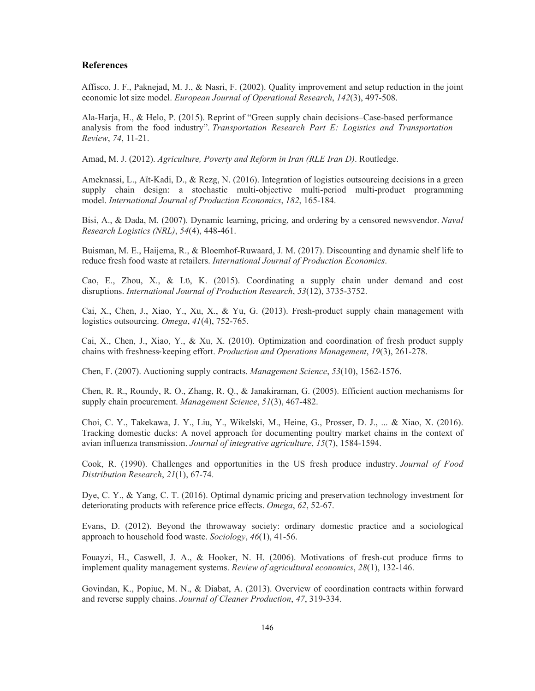## **References**

 Affisco, J. F., Paknejad, M. J., & Nasri, F. (2002). Quality improvement and setup reduction in the joint economic lot size model. *European Journal of Operational Research*, *142*(3), 497-508.

Ala-Harja, H., & Helo, P. (2015). Reprint of "Green supply chain decisions–Case-based performance analysis from the food industry". *Transportation Research Part E: Logistics and Transportation Review*, *74*, 11-21.

Amad, M. J. (2012). *Agriculture, Poverty and Reform in Iran (RLE Iran D)*. Routledge.

Ameknassi, L., Aït-Kadi, D., & Rezg, N. (2016). Integration of logistics outsourcing decisions in a green supply chain design: a stochastic multi-objective multi-period multi-product programming model. *International Journal of Production Economics*, *182*, 165-184.

Bisi, A., & Dada, M. (2007). Dynamic learning, pricing, and ordering by a censored newsvendor. *Naval Research Logistics (NRL)*, *54*(4), 448-461.

Buisman, M. E., Haijema, R., & Bloemhof-Ruwaard, J. M. (2017). Discounting and dynamic shelf life to reduce fresh food waste at retailers. *International Journal of Production Economics*.

Cao, E., Zhou, X., & Lϋ, K. (2015). Coordinating a supply chain under demand and cost disruptions. *International Journal of Production Research*, *53*(12), 3735-3752.

Cai, X., Chen, J., Xiao, Y., Xu, X., & Yu, G. (2013). Fresh-product supply chain management with logistics outsourcing. *Omega*, *41*(4), 752-765.

 Cai, X., Chen, J., Xiao, Y., & Xu, X. (2010). Optimization and coordination of fresh product supply chains with freshness-keeping effort. *Production and Operations Management*, *19*(3), 261-278.

Chen, F. (2007). Auctioning supply contracts. *Management Science*, *53*(10), 1562-1576.

Chen, R. R., Roundy, R. O., Zhang, R. Q., & Janakiraman, G. (2005). Efficient auction mechanisms for supply chain procurement. *Management Science*, *51*(3), 467-482.

Choi, C. Y., Takekawa, J. Y., Liu, Y., Wikelski, M., Heine, G., Prosser, D. J., ... & Xiao, X. (2016). Tracking domestic ducks: A novel approach for documenting poultry market chains in the context of avian influenza transmission. *Journal of integrative agriculture*, *15*(7), 1584-1594.

Cook, R. (1990). Challenges and opportunities in the US fresh produce industry. *Journal of Food Distribution Research*, *21*(1), 67-74.

Dye, C. Y., & Yang, C. T. (2016). Optimal dynamic pricing and preservation technology investment for deteriorating products with reference price effects. *Omega*, *62*, 52-67.

Evans, D. (2012). Beyond the throwaway society: ordinary domestic practice and a sociological approach to household food waste. *Sociology*, *46*(1), 41-56.

Fouayzi, H., Caswell, J. A., & Hooker, N. H. (2006). Motivations of fresh-cut produce firms to implement quality management systems. *Review of agricultural economics*, *28*(1), 132-146.

Govindan, K., Popiuc, M. N., & Diabat, A. (2013). Overview of coordination contracts within forward and reverse supply chains. *Journal of Cleaner Production*, *47*, 319-334.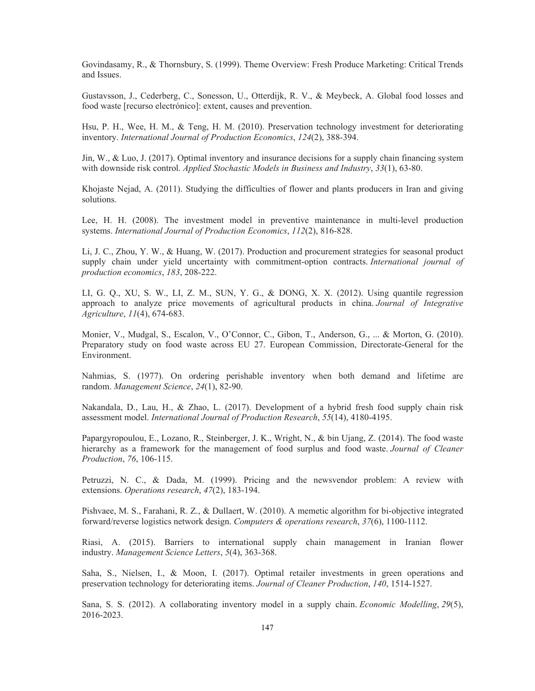Govindasamy, R., & Thornsbury, S. (1999). Theme Overview: Fresh Produce Marketing: Critical Trends and Issues.

Gustavsson, J., Cederberg, C., Sonesson, U., Otterdijk, R. V., & Meybeck, A. Global food losses and food waste [recurso electrónico]: extent, causes and prevention.

Hsu, P. H., Wee, H. M., & Teng, H. M. (2010). Preservation technology investment for deteriorating inventory. *International Journal of Production Economics*, *124*(2), 388-394.

Jin, W., & Luo, J. (2017). Optimal inventory and insurance decisions for a supply chain financing system with downside risk control. *Applied Stochastic Models in Business and Industry*, *33*(1), 63-80.

Khojaste Nejad, A. (2011). Studying the difficulties of flower and plants producers in Iran and giving solutions.

Lee, H. H. (2008). The investment model in preventive maintenance in multi-level production systems. *International Journal of Production Economics*, *112*(2), 816-828.

Li, J. C., Zhou, Y. W., & Huang, W. (2017). Production and procurement strategies for seasonal product supply chain under yield uncertainty with commitment-option contracts. *International journal of production economics*, *183*, 208-222.

LI, G. Q., XU, S. W., LI, Z. M., SUN, Y. G., & DONG, X. X. (2012). Using quantile regression approach to analyze price movements of agricultural products in china. *Journal of Integrative Agriculture*, *11*(4), 674-683.

Monier, V., Mudgal, S., Escalon, V., O'Connor, C., Gibon, T., Anderson, G., ... & Morton, G. (2010). Preparatory study on food waste across EU 27. European Commission, Directorate-General for the Environment.

Nahmias, S. (1977). On ordering perishable inventory when both demand and lifetime are random. *Management Science*, *24*(1), 82-90.

Nakandala, D., Lau, H., & Zhao, L. (2017). Development of a hybrid fresh food supply chain risk assessment model. *International Journal of Production Research*, *55*(14), 4180-4195.

Papargyropoulou, E., Lozano, R., Steinberger, J. K., Wright, N., & bin Ujang, Z. (2014). The food waste hierarchy as a framework for the management of food surplus and food waste. *Journal of Cleaner Production*, *76*, 106-115.

Petruzzi, N. C., & Dada, M. (1999). Pricing and the newsvendor problem: A review with extensions. *Operations research*, *47*(2), 183-194.

Pishvaee, M. S., Farahani, R. Z., & Dullaert, W. (2010). A memetic algorithm for bi-objective integrated forward/reverse logistics network design. *Computers & operations research*, *37*(6), 1100-1112.

Riasi, A. (2015). Barriers to international supply chain management in Iranian flower industry. *Management Science Letters*, *5*(4), 363-368.

Saha, S., Nielsen, I., & Moon, I. (2017). Optimal retailer investments in green operations and preservation technology for deteriorating items. *Journal of Cleaner Production*, *140*, 1514-1527.

Sana, S. S. (2012). A collaborating inventory model in a supply chain. *Economic Modelling*, *29*(5), 2016-2023.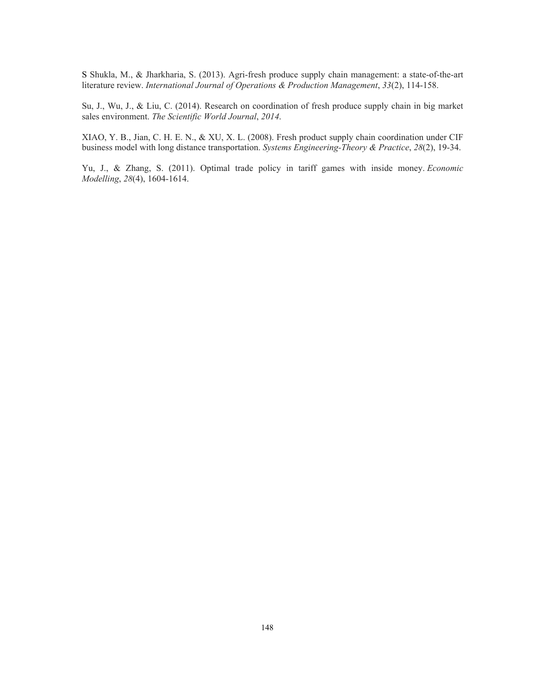S Shukla, M., & Jharkharia, S. (2013). Agri-fresh produce supply chain management: a state-of-the-art literature review. *International Journal of Operations & Production Management*, *33*(2), 114-158.

Su, J., Wu, J., & Liu, C. (2014). Research on coordination of fresh produce supply chain in big market sales environment. *The Scientific World Journal*, *2014*.

XIAO, Y. B., Jian, C. H. E. N., & XU, X. L. (2008). Fresh product supply chain coordination under CIF business model with long distance transportation. *Systems Engineering-Theory & Practice*, *28*(2), 19-34.

Yu, J., & Zhang, S. (2011). Optimal trade policy in tariff games with inside money. *Economic Modelling*, *28*(4), 1604-1614.